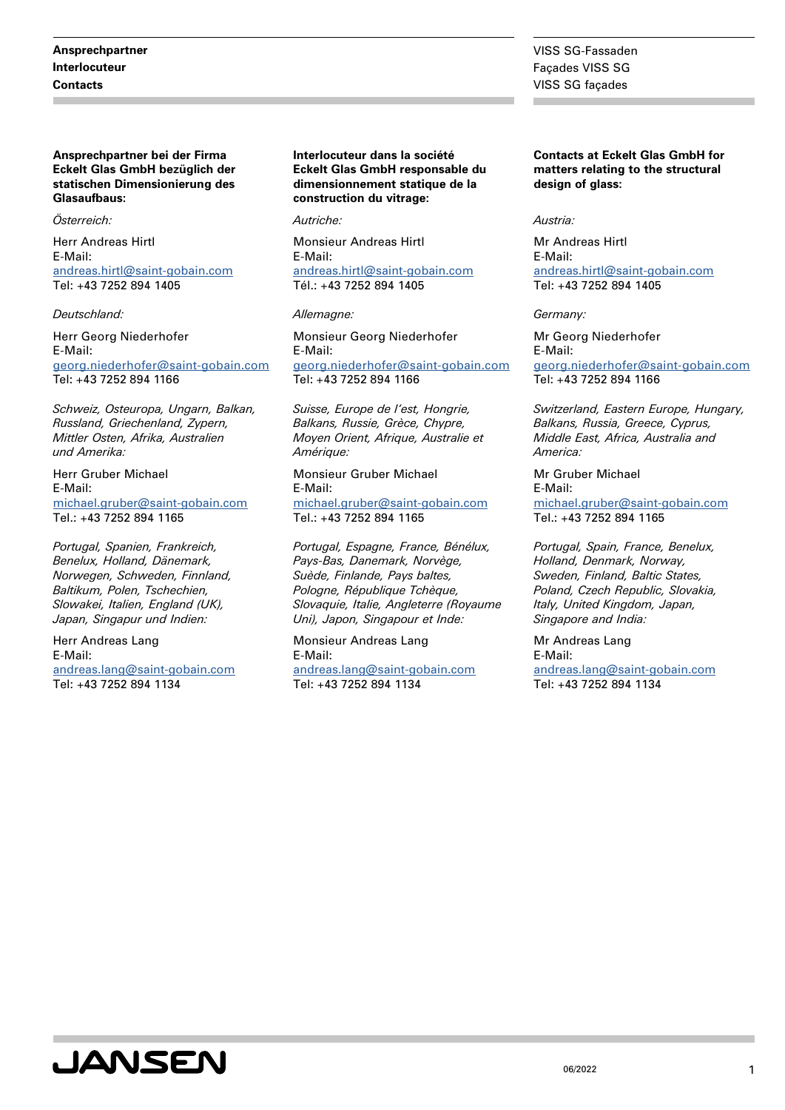**Ansprechpartner bei der Firma Eckelt Glas GmbH bezüglich der statischen Dimensionierung des Glasaufbaus:**

#### *Österreich:*

Herr Andreas Hirtl E-Mail: [andreas.hirtl@saint-gobain.com](mailto:andreas.hirtl@saint-gobain.com) Tel: +43 7252 894 1405

#### *Deutschland:*

Herr Georg Niederhofer E-Mail: [georg.niederhofer@saint-gobain.com](mailto:georg.niederhofer@saint-gobain.com) Tel: +43 7252 894 1166

*Schweiz, Osteuropa, Ungarn, Balkan, Russland, Griechenland, Zypern, Mittler Osten, Afrika, Australien und Amerika:*

Herr Gruber Michael E-Mail: [michael.gruber@saint-gobain.com](mailto:michael.gruber@saint-gobain.com) Tel.: +43 7252 894 1165

*Portugal, Spanien, Frankreich, Benelux, Holland, Dänemark, Norwegen, Schweden, Finnland, Baltikum, Polen, Tschechien, Slowakei, Italien, England (UK), Japan, Singapur und Indien:*

Herr Andreas Lang E-Mail: [andreas.lang@saint-gobain.com](mailto:andreas.lang@saint-gobain.com) Tel: +43 7252 894 1134

**Interlocuteur dans la société Eckelt Glas GmbH responsable du dimensionnement statique de la construction du vitrage:**

*Autriche:*

Monsieur Andreas Hirtl E-Mail: [andreas.hirtl@saint-gobain.com](mailto:andreas.hirtl@saint-gobain.com) Tél.: +43 7252 894 1405

#### *Allemagne:*

Monsieur Georg Niederhofer E-Mail: [georg.niederhofer@saint-gobain.com](mailto:georg.niederhofer@saint-gobain.com) Tel: +43 7252 894 1166

*Suisse, Europe de l'est, Hongrie, Balkans, Russie, Grèce, Chypre, Moyen Orient, Afrique, Australie et Amérique:*

Monsieur Gruber Michael E-Mail: [michael.gruber@saint-gobain.com](mailto:michael.gruber@saint-gobain.com)

Tel.: +43 7252 894 1165

*Portugal, Espagne, France, Bénélux, Pays-Bas, Danemark, Norvège, Suède, Finlande, Pays baltes, Pologne, République Tchèque, Slovaquie, Italie, Angleterre (Royaume Uni), Japon, Singapour et Inde:*

Monsieur Andreas Lang E-Mail: [andreas.lang@saint-gobain.com](mailto:andreas.lang@saint-gobain.com) Tel: +43 7252 894 1134

VISS SG-Fassaden Façades VISS SG VISS SG façades

**Contacts at Eckelt Glas GmbH for matters relating to the structural design of glass:**

#### *Austria:*

Mr Andreas Hirtl E-Mail: [andreas.hirtl@saint-gobain.com](mailto:andreas.hirtl@saint-gobain.com) Tel: +43 7252 894 1405

#### *Germany:*

Mr Georg Niederhofer E-Mail: [georg.niederhofer@saint-gobain.com](mailto:georg.niederhofer@saint-gobain.com) Tel: +43 7252 894 1166

*Switzerland, Eastern Europe, Hungary, Balkans, Russia, Greece, Cyprus, Middle East, Africa, Australia and America:*

Mr Gruber Michael E-Mail: [michael.gruber@saint-gobain.com](mailto:michael.gruber@saint-gobain.com) Tel.: +43 7252 894 1165

*Portugal, Spain, France, Benelux, Holland, Denmark, Norway, Sweden, Finland, Baltic States, Poland, Czech Republic, Slovakia, Italy, United Kingdom, Japan, Singapore and India:*

Mr Andreas Lang E-Mail: [andreas.lang@saint-gobain.com](mailto:andreas.lang@saint-gobain.com) Tel: +43 7252 894 1134

# **JANSEN**